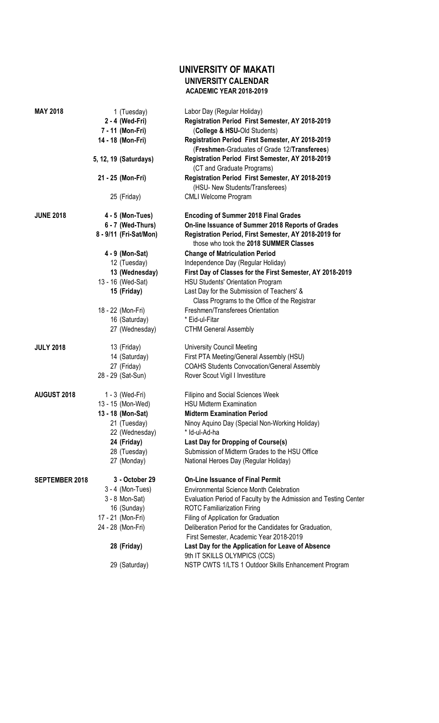## **UNIVERSITY OF MAKATI UNIVERSITY CALENDAR ACADEMIC YEAR 2018-2019**

| MAY 2018              | 1 (Tuesday)            | Labor Day (Regular Holiday)                                      |
|-----------------------|------------------------|------------------------------------------------------------------|
|                       | 2 - 4 (Wed-Fri)        | Registration Period First Semester, AY 2018-2019                 |
|                       | 7 - 11 (Mon-Fri)       | (College & HSU-Old Students)                                     |
|                       | 14 - 18 (Mon-Fri)      | Registration Period First Semester, AY 2018-2019                 |
|                       |                        | (Freshmen-Graduates of Grade 12/Transferees)                     |
|                       | 5, 12, 19 (Saturdays)  | Registration Period First Semester, AY 2018-2019                 |
|                       |                        | (CT and Graduate Programs)                                       |
|                       | 21 - 25 (Mon-Fri)      | Registration Period First Semester, AY 2018-2019                 |
|                       |                        | (HSU- New Students/Transferees)                                  |
|                       | 25 (Friday)            | <b>CMLI Welcome Program</b>                                      |
|                       |                        |                                                                  |
| <b>JUNE 2018</b>      | $4 - 5$ (Mon-Tues)     | <b>Encoding of Summer 2018 Final Grades</b>                      |
|                       | 6 - 7 (Wed-Thurs)      | On-line Issuance of Summer 2018 Reports of Grades                |
|                       | 8 - 9/11 (Fri-Sat/Mon) | Registration Period, First Semester, AY 2018-2019 for            |
|                       |                        | those who took the 2018 SUMMER Classes                           |
|                       | 4 - 9 (Mon-Sat)        | <b>Change of Matriculation Period</b>                            |
|                       | 12 (Tuesday)           | Independence Day (Regular Holiday)                               |
|                       | 13 (Wednesday)         | First Day of Classes for the First Semester, AY 2018-2019        |
|                       | 13 - 16 (Wed-Sat)      | <b>HSU Students' Orientation Program</b>                         |
|                       | 15 (Friday)            | Last Day for the Submission of Teachers' &                       |
|                       |                        | Class Programs to the Office of the Registrar                    |
|                       | 18 - 22 (Mon-Fri)      | Freshmen/Transferees Orientation                                 |
|                       | 16 (Saturday)          | * Eid-ul-Fitar                                                   |
|                       | 27 (Wednesday)         | <b>CTHM General Assembly</b>                                     |
|                       |                        |                                                                  |
| <b>JULY 2018</b>      | 13 (Friday)            | <b>University Council Meeting</b>                                |
|                       | 14 (Saturday)          | First PTA Meeting/General Assembly (HSU)                         |
|                       | 27 (Friday)            | <b>COAHS Students Convocation/General Assembly</b>               |
|                       | 28 - 29 (Sat-Sun)      | Rover Scout Vigil I Investiture                                  |
|                       |                        |                                                                  |
| <b>AUGUST 2018</b>    | 1 - 3 (Wed-Fri)        | Filipino and Social Sciences Week                                |
|                       | 13 - 15 (Mon-Wed)      | <b>HSU Midterm Examination</b>                                   |
|                       | 13 - 18 (Mon-Sat)      | <b>Midterm Examination Period</b>                                |
|                       | 21 (Tuesday)           | Ninoy Aquino Day (Special Non-Working Holiday)                   |
|                       | 22 (Wednesday)         | * Id-ul-Ad-ha                                                    |
|                       | 24 (Friday)            | Last Day for Dropping of Course(s)                               |
|                       | 28 (Tuesday)           | Submission of Midterm Grades to the HSU Office                   |
|                       | 27 (Monday)            | National Heroes Day (Regular Holiday)                            |
| <b>SEPTEMBER 2018</b> | 3 - October 29         | <b>On-Line Issuance of Final Permit</b>                          |
|                       | $3 - 4$ (Mon-Tues)     | <b>Environmental Science Month Celebration</b>                   |
|                       | 3 - 8 Mon-Sat)         | Evaluation Period of Faculty by the Admission and Testing Center |
|                       | 16 (Sunday)            | <b>ROTC Familiarization Firing</b>                               |
|                       | 17 - 21 (Mon-Fri)      | Filing of Application for Graduation                             |
|                       | 24 - 28 (Mon-Fri)      | Deliberation Period for the Candidates for Graduation,           |
|                       |                        | First Semester, Academic Year 2018-2019                          |
|                       | 28 (Friday)            | Last Day for the Application for Leave of Absence                |
|                       |                        | 9th IT SKILLS OLYMPICS (CCS)                                     |
|                       | 29 (Saturday)          | NSTP CWTS 1/LTS 1 Outdoor Skills Enhancement Program             |
|                       |                        |                                                                  |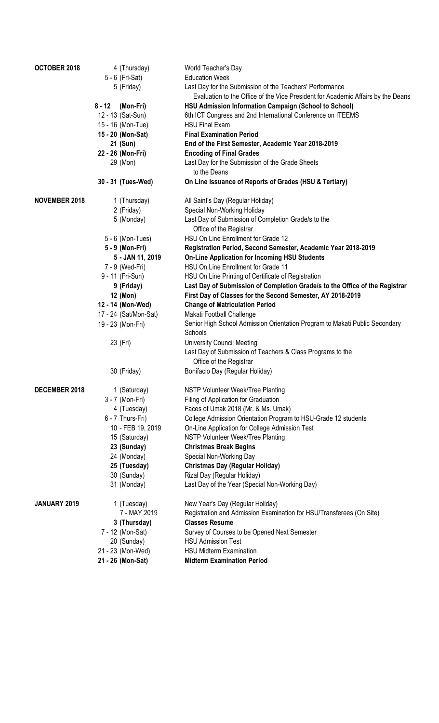| OCTOBER 2018         |          | 4 (Thursday)          | World Teacher's Day                                                                    |
|----------------------|----------|-----------------------|----------------------------------------------------------------------------------------|
|                      |          | 5 - 6 (Fri-Sat)       | <b>Education Week</b>                                                                  |
|                      |          | 5 (Friday)            | Last Day for the Submission of the Teachers' Performance                               |
|                      |          |                       | Evaluation to the Office of the Vice President for Academic Affairs by the Deans       |
|                      | $8 - 12$ | (Mon-Fri)             | <b>HSU Admission Information Campaign (School to School)</b>                           |
|                      |          | 12 - 13 (Sat-Sun)     | 6th ICT Congress and 2nd International Conference on ITEEMS                            |
|                      |          | 15 - 16 (Mon-Tue)     | <b>HSU Final Exam</b>                                                                  |
|                      |          | 15 - 20 (Mon-Sat)     | <b>Final Examination Period</b>                                                        |
|                      |          | 21 (Sun)              | End of the First Semester, Academic Year 2018-2019                                     |
|                      |          | 22 - 26 (Mon-Fri)     | <b>Encoding of Final Grades</b>                                                        |
|                      |          | 29 (Mon)              | Last Day for the Submission of the Grade Sheets<br>to the Deans                        |
|                      |          | 30 - 31 (Tues-Wed)    | On Line Issuance of Reports of Grades (HSU & Tertiary)                                 |
| <b>NOVEMBER 2018</b> |          | 1 (Thursday)          | All Saint's Day (Regular Holiday)                                                      |
|                      |          | 2 (Friday)            | Special Non-Working Holiday                                                            |
|                      |          | 5 (Monday)            | Last Day of Submission of Completion Grade/s to the                                    |
|                      |          |                       | Office of the Registrar                                                                |
|                      |          | 5 - 6 (Mon-Tues)      | HSU On Line Enrollment for Grade 12                                                    |
|                      |          | 5 - 9 (Mon-Fri)       | Registration Period, Second Semester, Academic Year 2018-2019                          |
|                      |          | 5 - JAN 11, 2019      | <b>On-Line Application for Incoming HSU Students</b>                                   |
|                      |          | 7 - 9 (Wed-Fri)       | HSU On Line Enrollment for Grade 11                                                    |
|                      |          | 9 - 11 (Fri-Sun)      | HSU On Line Printing of Certificate of Registration                                    |
|                      |          | 9 (Friday)            | Last Day of Submission of Completion Grade/s to the Office of the Registrar            |
|                      |          | 12 (Mon)              | First Day of Classes for the Second Semester, AY 2018-2019                             |
|                      |          | 12 - 14 (Mon-Wed)     | <b>Change of Matriculation Period</b>                                                  |
|                      |          | 17 - 24 (Sat/Mon-Sat) | Makati Football Challenge                                                              |
|                      |          | 19 - 23 (Mon-Fri)     | Senior High School Admission Orientation Program to Makati Public Secondary<br>Schools |
|                      |          | 23 (Fri)              | <b>University Council Meeting</b>                                                      |
|                      |          |                       | Last Day of Submission of Teachers & Class Programs to the<br>Office of the Registrar  |
|                      |          | 30 (Friday)           | Bonifacio Day (Regular Holiday)                                                        |
| DECEMBER 2018        |          | 1 (Saturday)          | NSTP Volunteer Week/Tree Planting                                                      |
|                      |          | 3 - 7 (Mon-Fri)       | Filing of Application for Graduation                                                   |
|                      |          | 4 (Tuesday)           | Faces of Umak 2018 (Mr. & Ms. Umak)                                                    |
|                      |          | 6 - 7 Thurs-Fri)      | College Admission Orientation Program to HSU-Grade 12 students                         |
|                      |          | 10 - FEB 19, 2019     | On-Line Application for College Admission Test                                         |
|                      |          | 15 (Saturday)         | NSTP Volunteer Week/Tree Planting                                                      |
|                      |          | 23 (Sunday)           | <b>Christmas Break Begins</b>                                                          |
|                      |          | 24 (Monday)           | Special Non-Working Day                                                                |
|                      |          | 25 (Tuesday)          | <b>Christmas Day (Regular Holiday)</b>                                                 |
|                      |          | 30 (Sunday)           | Rizal Day (Regular Holiday)                                                            |
|                      |          | 31 (Monday)           | Last Day of the Year (Special Non-Working Day)                                         |
| JANUARY 2019         |          | 1 (Tuesday)           | New Year's Day (Regular Holiday)                                                       |
|                      |          | 7 - MAY 2019          | Registration and Admission Examination for HSU/Transferees (On Site)                   |
|                      |          | 3 (Thursday)          | <b>Classes Resume</b>                                                                  |
|                      |          | 7 - 12 (Mon-Sat)      | Survey of Courses to be Opened Next Semester                                           |
|                      |          | 20 (Sunday)           | <b>HSU Admission Test</b>                                                              |
|                      |          | 21 - 23 (Mon-Wed)     | <b>HSU Midterm Examination</b>                                                         |
|                      |          | 21 - 26 (Mon-Sat)     | <b>Midterm Examination Period</b>                                                      |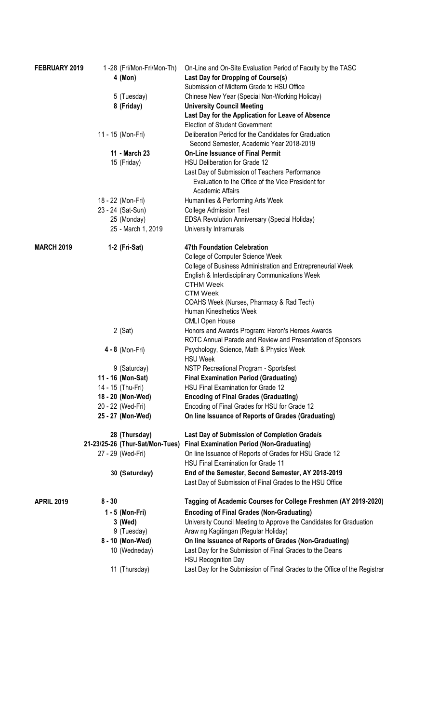| FEBRUARY 2019     |          | 1-28 (Fri/Mon-Fri/Mon-Th)       | On-Line and On-Site Evaluation Period of Faculty by the TASC               |
|-------------------|----------|---------------------------------|----------------------------------------------------------------------------|
|                   |          | 4 (Mon)                         | Last Day for Dropping of Course(s)                                         |
|                   |          |                                 | Submission of Midterm Grade to HSU Office                                  |
|                   |          | 5 (Tuesday)                     | Chinese New Year (Special Non-Working Holiday)                             |
|                   |          | 8 (Friday)                      | <b>University Council Meeting</b>                                          |
|                   |          |                                 | Last Day for the Application for Leave of Absence                          |
|                   |          |                                 | <b>Election of Student Government</b>                                      |
|                   |          | 11 - 15 (Mon-Fri)               | Deliberation Period for the Candidates for Graduation                      |
|                   |          |                                 | Second Semester, Academic Year 2018-2019                                   |
|                   |          | 11 - March 23                   | <b>On-Line Issuance of Final Permit</b>                                    |
|                   |          | 15 (Friday)                     | <b>HSU Deliberation for Grade 12</b>                                       |
|                   |          |                                 | Last Day of Submission of Teachers Performance                             |
|                   |          |                                 | Evaluation to the Office of the Vice President for                         |
|                   |          |                                 | Academic Affairs                                                           |
|                   |          | 18 - 22 (Mon-Fri)               | Humanities & Performing Arts Week                                          |
|                   |          | 23 - 24 (Sat-Sun)               | <b>College Admission Test</b>                                              |
|                   |          | 25 (Monday)                     | <b>EDSA Revolution Anniversary (Special Holiday)</b>                       |
|                   |          | 25 - March 1, 2019              | University Intramurals                                                     |
|                   |          |                                 |                                                                            |
| <b>MARCH 2019</b> |          | 1-2 (Fri-Sat)                   | <b>47th Foundation Celebration</b>                                         |
|                   |          |                                 | <b>College of Computer Science Week</b>                                    |
|                   |          |                                 | College of Business Administration and Entrepreneurial Week                |
|                   |          |                                 | English & Interdisciplinary Communications Week                            |
|                   |          |                                 | <b>CTHM Week</b>                                                           |
|                   |          |                                 | <b>CTM Week</b>                                                            |
|                   |          |                                 | COAHS Week (Nurses, Pharmacy & Rad Tech)                                   |
|                   |          |                                 | Human Kinesthetics Week                                                    |
|                   |          |                                 | <b>CMLI Open House</b>                                                     |
|                   |          | $2$ (Sat)                       | Honors and Awards Program: Heron's Heroes Awards                           |
|                   |          |                                 | ROTC Annual Parade and Review and Presentation of Sponsors                 |
|                   |          | $4 - 8$ (Mon-Fri)               | Psychology, Science, Math & Physics Week                                   |
|                   |          |                                 | <b>HSU Week</b>                                                            |
|                   |          | 9 (Saturday)                    | NSTP Recreational Program - Sportsfest                                     |
|                   |          | 11 - 16 (Mon-Sat)               | <b>Final Examination Period (Graduating)</b>                               |
|                   |          | 14 - 15 (Thu-Fri)               | HSU Final Examination for Grade 12                                         |
|                   |          | 18 - 20 (Mon-Wed)               | <b>Encoding of Final Grades (Graduating)</b>                               |
|                   |          | 20 - 22 (Wed-Fri)               | Encoding of Final Grades for HSU for Grade 12                              |
|                   |          | 25 - 27 (Mon-Wed)               | On line Issuance of Reports of Grades (Graduating)                         |
|                   |          |                                 |                                                                            |
|                   |          | 28 (Thursday)                   | Last Day of Submission of Completion Grade/s                               |
|                   |          | 21-23/25-26 (Thur-Sat/Mon-Tues) | <b>Final Examination Period (Non-Graduating)</b>                           |
|                   |          | 27 - 29 (Wed-Fri)               | On line Issuance of Reports of Grades for HSU Grade 12                     |
|                   |          |                                 | HSU Final Examination for Grade 11                                         |
|                   |          | 30 (Saturday)                   | End of the Semester, Second Semester, AY 2018-2019                         |
|                   |          |                                 | Last Day of Submission of Final Grades to the HSU Office                   |
|                   |          |                                 |                                                                            |
| <b>APRIL 2019</b> | $8 - 30$ |                                 | Tagging of Academic Courses for College Freshmen (AY 2019-2020)            |
|                   |          | 1 - 5 (Mon-Fri)                 | <b>Encoding of Final Grades (Non-Graduating)</b>                           |
|                   |          | 3 (Wed)                         | University Council Meeting to Approve the Candidates for Graduation        |
|                   |          | 9 (Tuesday)                     | Araw ng Kagitingan (Regular Holiday)                                       |
|                   |          | 8 - 10 (Mon-Wed)                | On line Issuance of Reports of Grades (Non-Graduating)                     |
|                   |          | 10 (Wedneday)                   | Last Day for the Submission of Final Grades to the Deans                   |
|                   |          |                                 | <b>HSU Recognition Day</b>                                                 |
|                   |          | 11 (Thursday)                   | Last Day for the Submission of Final Grades to the Office of the Registrar |
|                   |          |                                 |                                                                            |